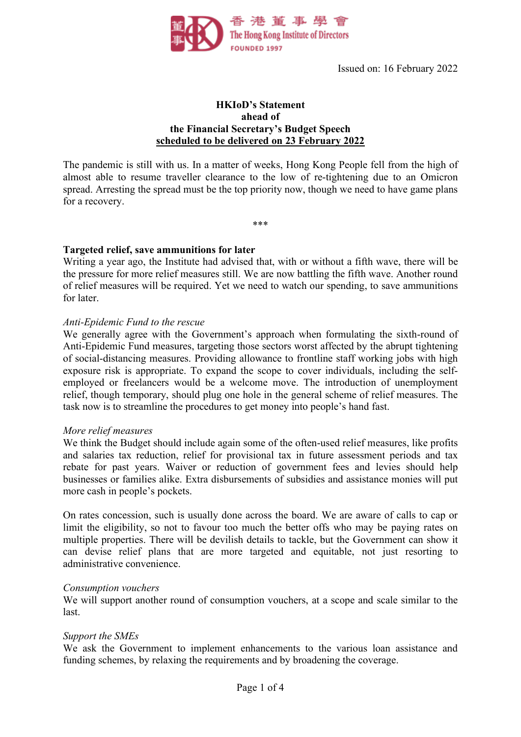

Issued on: 16 February 2022

## **HKIoD's Statement ahead of the Financial Secretary's Budget Speech scheduled to be delivered on 23 February 2022**

The pandemic is still with us. In a matter of weeks, Hong Kong People fell from the high of almost able to resume traveller clearance to the low of re-tightening due to an Omicron spread. Arresting the spread must be the top priority now, though we need to have game plans for a recovery.

\*\*\*

**Targeted relief, save ammunitions for later**

Writing a year ago, the Institute had advised that, with or without a fifth wave, there will be the pressure for more relief measures still. We are now battling the fifth wave. Another round of relief measures will be required. Yet we need to watch our spending, to save ammunitions for later.

#### *Anti-Epidemic Fund to the rescue*

We generally agree with the Government's approach when formulating the sixth-round of Anti-Epidemic Fund measures, targeting those sectors worst affected by the abrupt tightening of social-distancing measures. Providing allowance to frontline staff working jobs with high exposure risk is appropriate. To expand the scope to cover individuals, including the selfemployed or freelancers would be a welcome move. The introduction of unemployment relief, though temporary, should plug one hole in the general scheme of relief measures. The task now is to streamline the procedures to get money into people's hand fast.

#### *More relief measures*

We think the Budget should include again some of the often-used relief measures, like profits and salaries tax reduction, relief for provisional tax in future assessment periods and tax rebate for past years. Waiver or reduction of government fees and levies should help businesses or families alike. Extra disbursements of subsidies and assistance monies will put more cash in people's pockets.

On rates concession, such is usually done across the board. We are aware of calls to cap or limit the eligibility, so not to favour too much the better offs who may be paying rates on multiple properties. There will be devilish details to tackle, but the Government can show it can devise relief plans that are more targeted and equitable, not just resorting to administrative convenience.

#### *Consumption vouchers*

We will support another round of consumption vouchers, at a scope and scale similar to the last.

#### *Support the SMEs*

We ask the Government to implement enhancements to the various loan assistance and funding schemes, by relaxing the requirements and by broadening the coverage.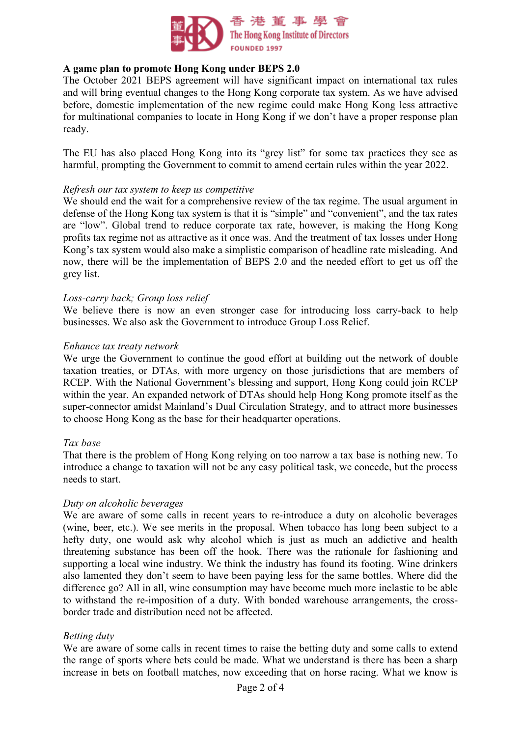

## **A game plan to promote Hong Kong under BEPS 2.0**

The October 2021 BEPS agreement will have significant impact on international tax rules and will bring eventual changes to the Hong Kong corporate tax system. As we have advised before, domestic implementation of the new regime could make Hong Kong less attractive for multinational companies to locate in Hong Kong if we don't have a proper response plan ready.

The EU has also placed Hong Kong into its "grey list" for some tax practices they see as harmful, prompting the Government to commit to amend certain rules within the year 2022.

### *Refresh our tax system to keep us competitive*

We should end the wait for a comprehensive review of the tax regime. The usual argument in defense of the Hong Kong tax system is that it is "simple" and "convenient", and the tax rates are "low". Global trend to reduce corporate tax rate, however, is making the Hong Kong profits tax regime not as attractive as it once was. And the treatment of tax losses under Hong Kong's tax system would also make a simplistic comparison of headline rate misleading. And now, there will be the implementation of BEPS 2.0 and the needed effort to get us off the grey list.

## *Loss-carry back; Group loss relief*

We believe there is now an even stronger case for introducing loss carry-back to help businesses. We also ask the Government to introduce Group Loss Relief.

### *Enhance tax treaty network*

We urge the Government to continue the good effort at building out the network of double taxation treaties, or DTAs, with more urgency on those jurisdictions that are members of RCEP. With the National Government's blessing and support, Hong Kong could join RCEP within the year. An expanded network of DTAs should help Hong Kong promote itself as the super-connector amidst Mainland's Dual Circulation Strategy, and to attract more businesses to choose Hong Kong as the base for their headquarter operations.

### *Tax base*

That there is the problem of Hong Kong relying on too narrow a tax base is nothing new. To introduce a change to taxation will not be any easy political task, we concede, but the process needs to start.

### *Duty on alcoholic beverages*

We are aware of some calls in recent years to re-introduce a duty on alcoholic beverages (wine, beer, etc.). We see merits in the proposal. When tobacco has long been subject to a hefty duty, one would ask why alcohol which is just as much an addictive and health threatening substance has been off the hook. There was the rationale for fashioning and supporting a local wine industry. We think the industry has found its footing. Wine drinkers also lamented they don't seem to have been paying less for the same bottles. Where did the difference go? All in all, wine consumption may have become much more inelastic to be able to withstand the re-imposition of a duty. With bonded warehouse arrangements, the crossborder trade and distribution need not be affected.

# *Betting duty*

We are aware of some calls in recent times to raise the betting duty and some calls to extend the range of sports where bets could be made. What we understand is there has been a sharp increase in bets on football matches, now exceeding that on horse racing. What we know is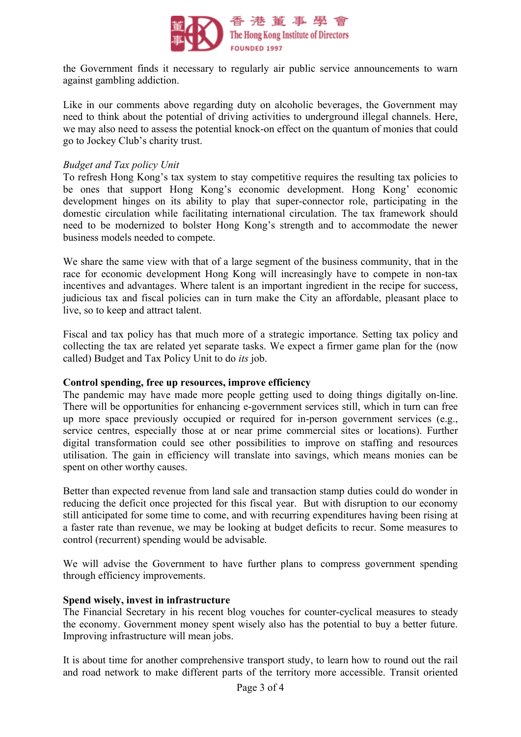

the Government finds it necessary to regularly air public service announcements to warn against gambling addiction.

Like in our comments above regarding duty on alcoholic beverages, the Government may need to think about the potential of driving activities to underground illegal channels. Here, we may also need to assess the potential knock-on effect on the quantum of monies that could go to Jockey Club's charity trust.

## *Budget and Tax policy Unit*

To refresh Hong Kong's tax system to stay competitive requires the resulting tax policies to be ones that support Hong Kong's economic development. Hong Kong' economic development hinges on its ability to play that super-connector role, participating in the domestic circulation while facilitating international circulation. The tax framework should need to be modernized to bolster Hong Kong's strength and to accommodate the newer business models needed to compete.

We share the same view with that of a large segment of the business community, that in the race for economic development Hong Kong will increasingly have to compete in non-tax incentives and advantages. Where talent is an important ingredient in the recipe for success, judicious tax and fiscal policies can in turn make the City an affordable, pleasant place to live, so to keep and attract talent.

Fiscal and tax policy has that much more of a strategic importance. Setting tax policy and collecting the tax are related yet separate tasks. We expect a firmer game plan for the (now called) Budget and Tax Policy Unit to do *its* job.

### **Control spending, free up resources, improve efficiency**

The pandemic may have made more people getting used to doing things digitally on-line. There will be opportunities for enhancing e-government services still, which in turn can free up more space previously occupied or required for in-person government services (e.g., service centres, especially those at or near prime commercial sites or locations). Further digital transformation could see other possibilities to improve on staffing and resources utilisation. The gain in efficiency will translate into savings, which means monies can be spent on other worthy causes.

Better than expected revenue from land sale and transaction stamp duties could do wonder in reducing the deficit once projected for this fiscal year. But with disruption to our economy still anticipated for some time to come, and with recurring expenditures having been rising at a faster rate than revenue, we may be looking at budget deficits to recur. Some measures to control (recurrent) spending would be advisable.

We will advise the Government to have further plans to compress government spending through efficiency improvements.

### **Spend wisely, invest in infrastructure**

The Financial Secretary in his recent blog vouches for counter-cyclical measures to steady the economy. Government money spent wisely also has the potential to buy a better future. Improving infrastructure will mean jobs.

It is about time for another comprehensive transport study, to learn how to round out the rail and road network to make different parts of the territory more accessible. Transit oriented